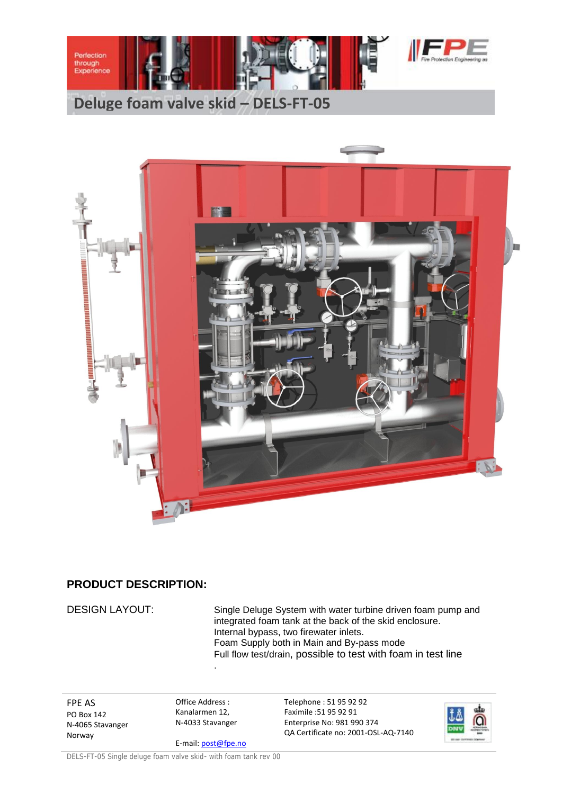



## **PRODUCT DESCRIPTION:**

DESIGN LAYOUT: Single Deluge System with water turbine driven foam pump and integrated foam tank at the back of the skid enclosure. Internal bypass, two firewater inlets. Foam Supply both in Main and By-pass mode Full flow test/drain, possible to test with foam in test line

FPE AS PO Box 142 N-4065 Stavanger Norway

Office Address : Kanalarmen 12, N-4033 Stavanger

.

E-mail: post@fpe.no

Telephone : 51 95 92 92 Faximile :51 95 92 91 Enterprise No: 981 990 374 QA Certificate no: 2001-OSL-AQ-7140



DELS-FT-05 Single deluge foam valve skid- with foam tank rev 00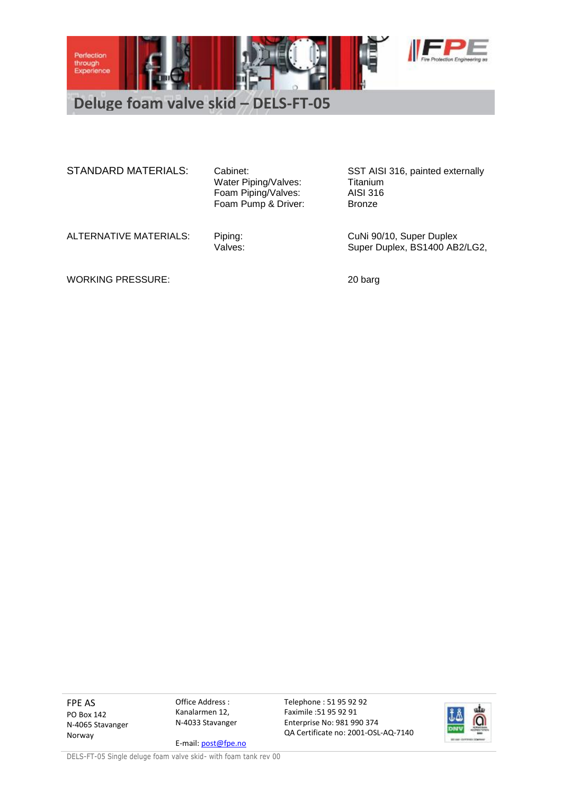

**Deluge foam valve skid – DELS-FT-05**

STANDARD MATERIALS: Cabinet: STANDARD MATERIALS: Cabinet: SST AISI 316, painted externally

Water Piping/Valves: Titanium Foam Piping/Valves: AISI 316 Foam Pump & Driver: Bronze

ALTERNATIVE MATERIALS: Piping: CuNi 90/10, Super Duplex<br>Valves: Values: Super Duplex, BS1400 AB Super Duplex, BS1400 AB2/LG2,

WORKING PRESSURE: 20 barg

FPE AS PO Box 142 N-4065 Stavanger Norway

Office Address : Kanalarmen 12, N-4033 Stavanger

E-mail: post@fpe.no QA Certificate no: 2001-OSL-AQ-7140

Telephone : 51 95 92 92 Faximile :51 95 92 91 Enterprise No: 981 990 374

alı

DELS-FT-05 Single deluge foam valve skid- with foam tank rev 00